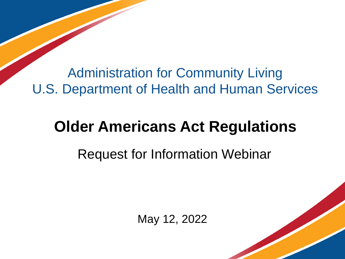Administration for Community Living U.S. Department of Health and Human Services

#### **Older Americans Act Regulations**

#### Request for Information Webinar

May 12, 2022

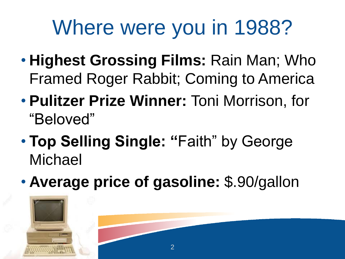## Where were you in 1988?

- **Highest Grossing Films:** Rain Man; Who Framed Roger Rabbit; Coming to America
- **Pulitzer Prize Winner:** Toni Morrison, for "Beloved"
- **Top Selling Single: "**Faith" by George Michael
- **Average price of gasoline:** \$.90/gallon

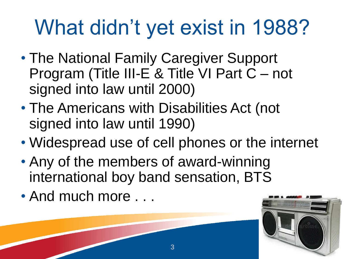## What didn't yet exist in 1988?

- The National Family Caregiver Support Program (Title III-E & Title VI Part C – not signed into law until 2000)
- The Americans with Disabilities Act (not signed into law until 1990)
- Widespread use of cell phones or the internet
- Any of the members of award-winning international boy band sensation, BTS
- And much more . . .

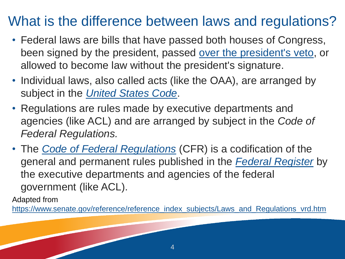#### What is the difference between laws and regulations?

- Federal laws are bills that have passed both houses of Congress, been signed by the president, passed [over the president's veto,](https://www.senate.gov/about/glossary.htm#veto) or allowed to become law without the president's signature.
- Individual laws, also called acts (like the OAA), are arranged by subject in the *[United States Code](https://www.senate.gov/pagelayout/legislative/one_item_and_teasers/usCode_page.htm)*.
- Regulations are rules made by executive departments and agencies (like ACL) and are arranged by subject in the *Code of Federal Regulations.*
- The *[Code of Federal Regulations](http://www.archives.gov/federal-register/cfr/)* (CFR) is a codification of the general and permanent rules published in the *[Federal Register](http://www.archives.gov/federal-register/publications/index.html)* by the executive departments and agencies of the federal government (like ACL).

Adapted from

[https://www.senate.gov/reference/reference\\_index\\_subjects/Laws\\_and\\_Regulations\\_vrd.htm](https://www.senate.gov/reference/reference_index_subjects/Laws_and_Regulations_vrd.htm)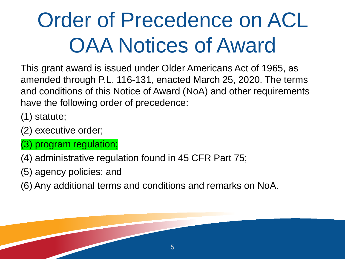# Order of Precedence on ACL OAA Notices of Award

This grant award is issued under Older Americans Act of 1965, as amended through P.L. 116-131, enacted March 25, 2020. The terms and conditions of this Notice of Award (NoA) and other requirements have the following order of precedence:

- (1) statute;
- (2) executive order;
- (3) program regulation;
- (4) administrative regulation found in 45 CFR Part 75;
- (5) agency policies; and
- (6) Any additional terms and conditions and remarks on NoA.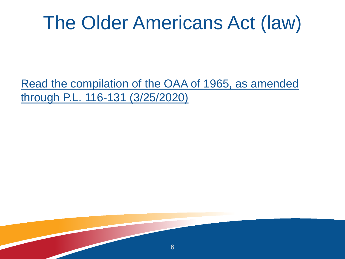#### The Older Americans Act (law)

[Read the compilation of the OAA of 1965, as amended](https://acl.gov/sites/default/files/about-acl/2020-04/Older%20Americans%20Act%20Of%201965%20as%20amended%20by%20Public%20Law%20116-131%20on%203-25-2020.pdf)  through P.L. 116-131 (3/25/2020)

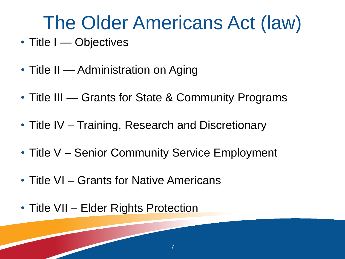### The Older Americans Act (law)

- Title I Objectives
- Title II Administration on Aging
- Title III Grants for State & Community Programs
- Title IV Training, Research and Discretionary
- Title V Senior Community Service Employment
- Title VI Grants for Native Americans
- Title VII Elder Rights Protection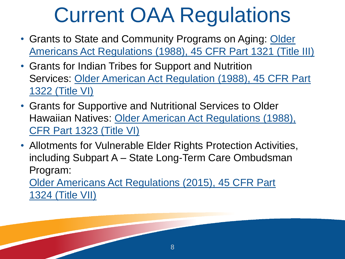## Current OAA Regulations

- Grants to State and Community Programs on Aging: Older [Americans Act Regulations \(1988\), 45 CFR Part 1321 \(Title III\)](https://acl.gov/sites/default/files/about-acl/2017-04/title_III_regs_sessions_1321_0.pdf)
- Grants for Indian Tribes for Support and Nutrition Services: [Older American Act Regulation \(1988\), 45 CFR Part](https://www.ecfr.gov/cgi-bin/text-idx?SID=d809b41b23f8245d014eb5b70b027fa4&mc=true&node=pt45.5.1322&rgn=div5)  1322 (Title VI)
- Grants for Supportive and Nutritional Services to Older Hawaiian Natives: [Older American Act Regulations \(1988\),](https://www.ecfr.gov/cgi-bin/retrieveECFR?gp=&SID=0f700fbb3ce5c65c1fc0fabad7fd040e&mc=true&n=pt45.5.1323&r=PART&ty=HTML)  CFR Part 1323 (Title VI)
- Allotments for Vulnerable Elder Rights Protection Activities, including Subpart A – State Long-Term Care Ombudsman Program:

[Older Americans Act Regulations \(2015\), 45 CFR Part](https://www.ecfr.gov/cgi-bin/text-idx?SID=970d030777992da3ea7a17ae13754267&mc=true&node=sp45.5.1324.a&rgn=div6)  1324 (Title VII)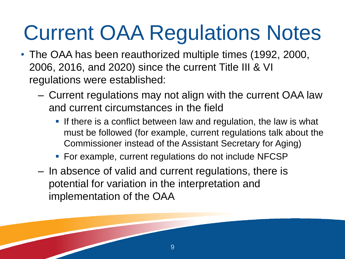# Current OAA Regulations Notes

- The OAA has been reauthorized multiple times (1992, 2000, 2006, 2016, and 2020) since the current Title III & VI regulations were established:
	- Current regulations may not align with the current OAA law and current circumstances in the field
		- **.** If there is a conflict between law and regulation, the law is what must be followed (for example, current regulations talk about the Commissioner instead of the Assistant Secretary for Aging)
		- For example, current regulations do not include NFCSP

9

– In absence of valid and current regulations, there is potential for variation in the interpretation and implementation of the OAA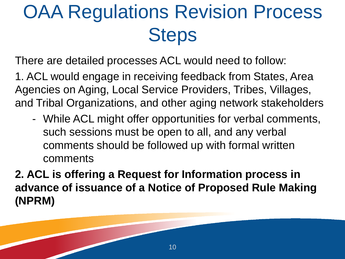### OAA Regulations Revision Process **Steps**

There are detailed processes ACL would need to follow:

1. ACL would engage in receiving feedback from States, Area Agencies on Aging, Local Service Providers, Tribes, Villages, and Tribal Organizations, and other aging network stakeholders

- While ACL might offer opportunities for verbal comments, such sessions must be open to all, and any verbal comments should be followed up with formal written comments

**2. ACL is offering a Request for Information process in advance of issuance of a Notice of Proposed Rule Making (NPRM)**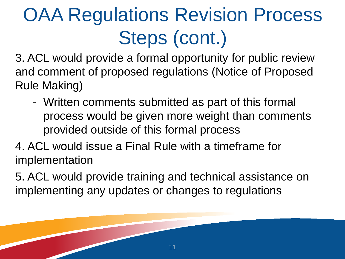## OAA Regulations Revision Process Steps (cont.)

3. ACL would provide a formal opportunity for public review and comment of proposed regulations (Notice of Proposed Rule Making)

- Written comments submitted as part of this formal process would be given more weight than comments provided outside of this formal process

4. ACL would issue a Final Rule with a timeframe for implementation

5. ACL would provide training and technical assistance on implementing any updates or changes to regulations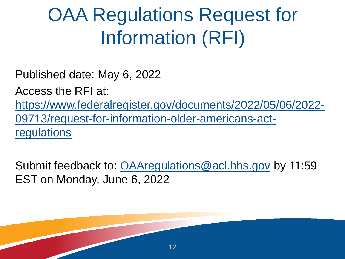### OAA Regulations Request for Information (RFI)

Published date: May 6, 2022

Access the RFI at:

[https://www.federalregister.gov/documents/2022/05/06/2022-](https://www.federalregister.gov/documents/2022/05/06/2022-09713/request-for-information-older-americans-act-regulations) 09713/request-for-information-older-americans-actregulations

Submit feedback to: [OAAregulations@acl.hhs.gov](mailto:OAAregulations@acl.hhs.gov) by 11:59 EST on Monday, June 6, 2022

12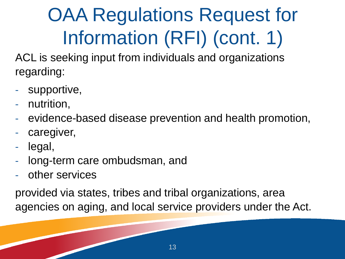## OAA Regulations Request for Information (RFI) (cont. 1)

ACL is seeking input from individuals and organizations regarding:

- supportive,
- nutrition,
- evidence-based disease prevention and health promotion,
- caregiver,
- legal,
- long-term care ombudsman, and
- other services

provided via states, tribes and tribal organizations, area agencies on aging, and local service providers under the Act.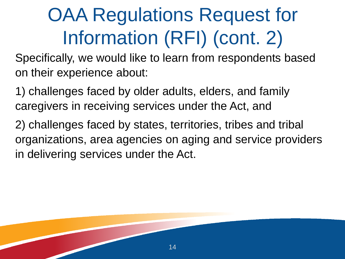### OAA Regulations Request for Information (RFI) (cont. 2)

Specifically, we would like to learn from respondents based on their experience about:

1) challenges faced by older adults, elders, and family caregivers in receiving services under the Act, and

2) challenges faced by states, territories, tribes and tribal organizations, area agencies on aging and service providers in delivering services under the Act.

14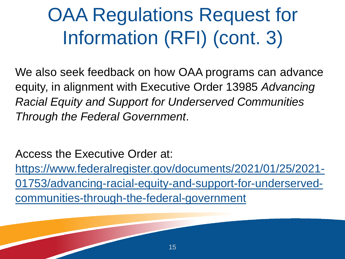### OAA Regulations Request for Information (RFI) (cont. 3)

We also seek feedback on how OAA programs can advance equity, in alignment with Executive Order 13985 *Advancing Racial Equity and Support for Underserved Communities Through the Federal Government*.

Access the Executive Order at: https://www.federalregister.gov/documents/2021/01/25/2021- [01753/advancing-racial-equity-and-support-for-underserved](https://www.federalregister.gov/documents/2021/01/25/2021-01753/advancing-racial-equity-and-support-for-underserved-communities-through-the-federal-government)communities-through-the-federal-government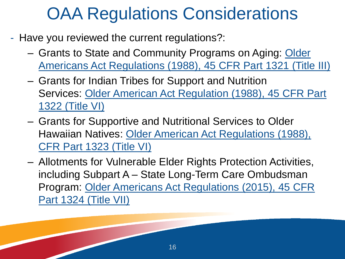#### OAA Regulations Considerations

- Have you reviewed the current regulations?:
	- Grants to State and Community Programs on Aging: Older [Americans Act Regulations \(1988\), 45 CFR Part 1321 \(Title III\)](https://acl.gov/sites/default/files/about-acl/2017-04/title_III_regs_sessions_1321_0.pdf)
	- Grants for Indian Tribes for Support and Nutrition Services: [Older American Act Regulation \(1988\), 45 CFR Part](https://www.ecfr.gov/cgi-bin/text-idx?SID=d809b41b23f8245d014eb5b70b027fa4&mc=true&node=pt45.5.1322&rgn=div5)  1322 (Title VI)
	- Grants for Supportive and Nutritional Services to Older Hawaiian Natives: [Older American Act Regulations \(1988\),](https://www.ecfr.gov/cgi-bin/retrieveECFR?gp=&SID=0f700fbb3ce5c65c1fc0fabad7fd040e&mc=true&n=pt45.5.1323&r=PART&ty=HTML)  CFR Part 1323 (Title VI)
	- Allotments for Vulnerable Elder Rights Protection Activities, including Subpart A – State Long-Term Care Ombudsman [Program: Older Americans Act Regulations \(2015\), 45 CFR](https://www.ecfr.gov/cgi-bin/text-idx?SID=970d030777992da3ea7a17ae13754267&mc=true&node=sp45.5.1324.a&rgn=div6)  Part 1324 (Title VII)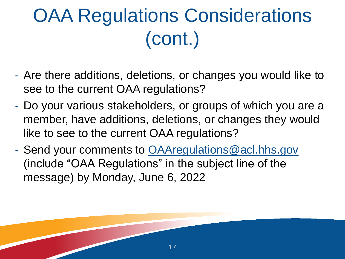### OAA Regulations Considerations (cont.)

- Are there additions, deletions, or changes you would like to see to the current OAA regulations?
- Do your various stakeholders, or groups of which you are a member, have additions, deletions, or changes they would like to see to the current OAA regulations?

17

- Send your comments to [OAAregulations@acl.hhs.gov](mailto:OAAregulations@acl.hhs.gov) (include "OAA Regulations" in the subject line of the message) by Monday, June 6, 2022